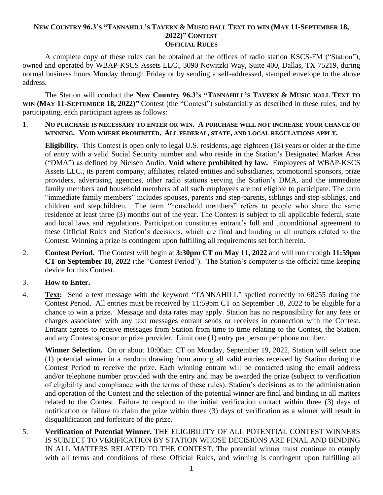## NEW COUNTRY 96.3'S "TANNAHILL'S TAVERN & MUSIC HALL TEXT TO WIN (MAY 11-SEPTEMBER 18, **2022)" CONTEST OFFICIAL RULES**

A complete copy of these rules can be obtained at the offices of radio station KSCS-FM ("Station"), owned and operated by WBAP-KSCS Assets LLC., 3090 Nowitzki Way, Suite 400, Dallas, TX 75219, during normal business hours Monday through Friday or by sending a self-addressed, stamped envelope to the above address.

The Station will conduct the **New Country 96.3's "TANNAHILL'S TAVERN & MUSIC HALL TEXT TO WIN (MAY 11-SEPTEMBER 18, 2022)"** Contest (the "Contest") substantially as described in these rules, and by participating, each participant agrees as follows:

1. **NO PURCHASE IS NECESSARY TO ENTER OR WIN. A PURCHASE WILL NOT INCREASE YOUR CHANCE OF WINNING. VOID WHERE PROHIBITED. ALL FEDERAL, STATE, AND LOCAL REGULATIONS APPLY.**

**Eligibility.** This Contest is open only to legal U.S. residents, age eighteen (18) years or older at the time of entry with a valid Social Security number and who reside in the Station's Designated Market Area ("DMA") as defined by Nielsen Audio. **Void where prohibited by law.** Employees of WBAP-KSCS Assets LLC., its parent company, affiliates, related entities and subsidiaries, promotional sponsors, prize providers, advertising agencies, other radio stations serving the Station's DMA, and the immediate family members and household members of all such employees are not eligible to participate. The term "immediate family members" includes spouses, parents and step-parents, siblings and step-siblings, and children and stepchildren. The term "household members" refers to people who share the same residence at least three (3) months out of the year. The Contest is subject to all applicable federal, state and local laws and regulations. Participation constitutes entrant's full and unconditional agreement to these Official Rules and Station's decisions, which are final and binding in all matters related to the Contest. Winning a prize is contingent upon fulfilling all requirements set forth herein.

2. **Contest Period.** The Contest will begin at **3:30pm CT on May 11, 2022** and will run through **11:59pm CT on September 18, 2022** (the "Contest Period"). The Station's computer is the official time keeping device for this Contest.

## 3. **How to Enter.**

4. **Text:** Send a text message with the keyword "TANNAHILL" spelled correctly to 68255 during the Contest Period. All entries must be received by 11:59pm CT on September 18, 2022 to be eligible for a chance to win a prize.Message and data rates may apply. Station has no responsibility for any fees or charges associated with any text messages entrant sends or receives in connection with the Contest. Entrant agrees to receive messages from Station from time to time relating to the Contest, the Station, and any Contest sponsor or prize provider. Limit one (1) entry per person per phone number.

**Winner Selection.** On or about 10:00am CT on Monday, September 19, 2022, Station will select one (1) potential winner in a random drawing from among all valid entries received by Station during the Contest Period to receive the prize. Each winning entrant will be contacted using the email address and/or telephone number provided with the entry and may be awarded the prize (subject to verification of eligibility and compliance with the terms of these rules). Station's decisions as to the administration and operation of the Contest and the selection of the potential winner are final and binding in all matters related to the Contest. Failure to respond to the initial verification contact within three (3) days of notification or failure to claim the prize within three (3) days of verification as a winner will result in disqualification and forfeiture of the prize.

5. **Verification of Potential Winner.** THE ELIGIBILITY OF ALL POTENTIAL CONTEST WINNERS IS SUBJECT TO VERIFICATION BY STATION WHOSE DECISIONS ARE FINAL AND BINDING IN ALL MATTERS RELATED TO THE CONTEST. The potential winner must continue to comply with all terms and conditions of these Official Rules, and winning is contingent upon fulfilling all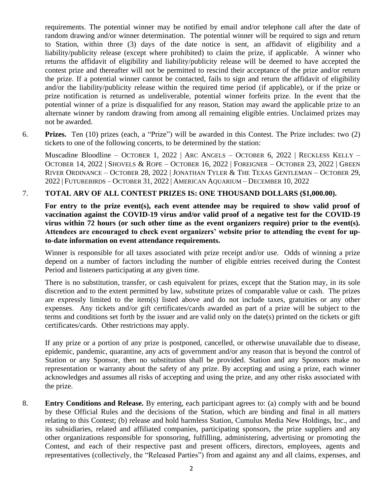requirements. The potential winner may be notified by email and/or telephone call after the date of random drawing and/or winner determination. The potential winner will be required to sign and return to Station, within three (3) days of the date notice is sent, an affidavit of eligibility and a liability/publicity release (except where prohibited) to claim the prize, if applicable. A winner who returns the affidavit of eligibility and liability/publicity release will be deemed to have accepted the contest prize and thereafter will not be permitted to rescind their acceptance of the prize and/or return the prize. If a potential winner cannot be contacted, fails to sign and return the affidavit of eligibility and/or the liability/publicity release within the required time period (if applicable), or if the prize or prize notification is returned as undeliverable, potential winner forfeits prize. In the event that the potential winner of a prize is disqualified for any reason, Station may award the applicable prize to an alternate winner by random drawing from among all remaining eligible entries. Unclaimed prizes may not be awarded.

6. **Prizes.** Ten (10) prizes (each, a "Prize") will be awarded in this Contest. The Prize includes: two (2) tickets to one of the following concerts, to be determined by the station:

Muscadine Bloodline – OCTOBER 1, 2022 | ARC ANGELS – OCTOBER 6, 2022 | RECKLESS KELLY – OCTOBER 14, 2022 | SHOVELS & ROPE – OCTOBER 16, 2022 | FOREIGNER – OCTOBER 23, 2022 | GREEN RIVER ORDINANCE – OCTOBER 28, 2022 | JONATHAN TYLER & THE TEXAS GENTLEMAN – OCTOBER 29, 2022 | FUTUREBIRDS – OCTOBER 31, 2022 | AMERICAN AQUARIUM – DECEMBER 10, 2022

## 7. **TOTAL ARV OF ALL CONTEST PRIZES IS: ONE THOUSAND DOLLARS (\$1,000.00).**

For entry to the prize event(s), each event attendee may be required to show valid proof of **vaccination against the COVID-19 virus and/or valid proof of a negative test for the COVID-19 virus within 72 hours (or such other time as the event organizers require) prior to the event(s). Attendees are encouraged to check event organizers' website prior to attending the event for upto-date information on event attendance requirements.**

Winner is responsible for all taxes associated with prize receipt and/or use. Odds of winning a prize depend on a number of factors including the number of eligible entries received during the Contest Period and listeners participating at any given time.

There is no substitution, transfer, or cash equivalent for prizes, except that the Station may, in its sole discretion and to the extent permitted by law, substitute prizes of comparable value or cash. The prizes are expressly limited to the item(s) listed above and do not include taxes, gratuities or any other expenses. Any tickets and/or gift certificates/cards awarded as part of a prize will be subject to the terms and conditions set forth by the issuer and are valid only on the date(s) printed on the tickets or gift certificates/cards. Other restrictions may apply.

If any prize or a portion of any prize is postponed, cancelled, or otherwise unavailable due to disease, epidemic, pandemic, quarantine, any acts of government and/or any reason that is beyond the control of Station or any Sponsor, then no substitution shall be provided. Station and any Sponsors make no representation or warranty about the safety of any prize. By accepting and using a prize, each winner acknowledges and assumes all risks of accepting and using the prize, and any other risks associated with the prize.

8. **Entry Conditions and Release.** By entering, each participant agrees to: (a) comply with and be bound by these Official Rules and the decisions of the Station, which are binding and final in all matters relating to this Contest; (b) release and hold harmless Station, Cumulus Media New Holdings, Inc., and its subsidiaries, related and affiliated companies, participating sponsors, the prize suppliers and any other organizations responsible for sponsoring, fulfilling, administering, advertising or promoting the Contest, and each of their respective past and present officers, directors, employees, agents and representatives (collectively, the "Released Parties") from and against any and all claims, expenses, and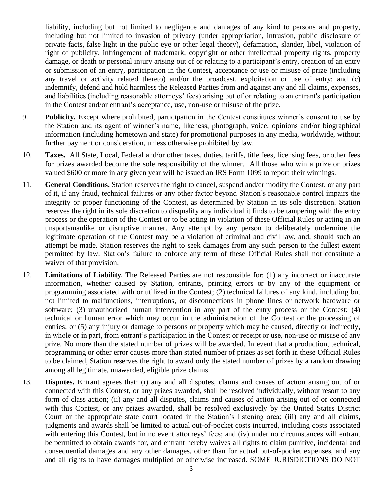liability, including but not limited to negligence and damages of any kind to persons and property, including but not limited to invasion of privacy (under appropriation, intrusion, public disclosure of private facts, false light in the public eye or other legal theory), defamation, slander, libel, violation of right of publicity, infringement of trademark, copyright or other intellectual property rights, property damage, or death or personal injury arising out of or relating to a participant's entry, creation of an entry or submission of an entry, participation in the Contest, acceptance or use or misuse of prize (including any travel or activity related thereto) and/or the broadcast, exploitation or use of entry; and (c) indemnify, defend and hold harmless the Released Parties from and against any and all claims, expenses, and liabilities (including reasonable attorneys' fees) arising out of or relating to an entrant's participation in the Contest and/or entrant's acceptance, use, non-use or misuse of the prize.

- 9. **Publicity.** Except where prohibited, participation in the Contest constitutes winner's consent to use by the Station and its agent of winner's name, likeness, photograph, voice, opinions and/or biographical information (including hometown and state) for promotional purposes in any media, worldwide, without further payment or consideration, unless otherwise prohibited by law.
- 10. **Taxes.** All State, Local, Federal and/or other taxes, duties, tariffs, title fees, licensing fees, or other fees for prizes awarded become the sole responsibility of the winner. All those who win a prize or prizes valued \$600 or more in any given year will be issued an IRS Form 1099 to report their winnings.
- 11. **General Conditions.** Station reserves the right to cancel, suspend and/or modify the Contest, or any part of it, if any fraud, technical failures or any other factor beyond Station's reasonable control impairs the integrity or proper functioning of the Contest, as determined by Station in its sole discretion. Station reserves the right in its sole discretion to disqualify any individual it finds to be tampering with the entry process or the operation of the Contest or to be acting in violation of these Official Rules or acting in an unsportsmanlike or disruptive manner. Any attempt by any person to deliberately undermine the legitimate operation of the Contest may be a violation of criminal and civil law, and, should such an attempt be made, Station reserves the right to seek damages from any such person to the fullest extent permitted by law. Station's failure to enforce any term of these Official Rules shall not constitute a waiver of that provision.
- 12. **Limitations of Liability.** The Released Parties are not responsible for: (1) any incorrect or inaccurate information, whether caused by Station, entrants, printing errors or by any of the equipment or programming associated with or utilized in the Contest; (2) technical failures of any kind, including but not limited to malfunctions, interruptions, or disconnections in phone lines or network hardware or software; (3) unauthorized human intervention in any part of the entry process or the Contest; (4) technical or human error which may occur in the administration of the Contest or the processing of entries; or (5) any injury or damage to persons or property which may be caused, directly or indirectly, in whole or in part, from entrant's participation in the Contest or receipt or use, non-use or misuse of any prize. No more than the stated number of prizes will be awarded. In event that a production, technical, programming or other error causes more than stated number of prizes as set forth in these Official Rules to be claimed, Station reserves the right to award only the stated number of prizes by a random drawing among all legitimate, unawarded, eligible prize claims.
- 13. **Disputes.** Entrant agrees that: (i) any and all disputes, claims and causes of action arising out of or connected with this Contest, or any prizes awarded, shall be resolved individually, without resort to any form of class action; (ii) any and all disputes, claims and causes of action arising out of or connected with this Contest, or any prizes awarded, shall be resolved exclusively by the United States District Court or the appropriate state court located in the Station's listening area; (iii) any and all claims, judgments and awards shall be limited to actual out-of-pocket costs incurred, including costs associated with entering this Contest, but in no event attorneys' fees; and (iv) under no circumstances will entrant be permitted to obtain awards for, and entrant hereby waives all rights to claim punitive, incidental and consequential damages and any other damages, other than for actual out-of-pocket expenses, and any and all rights to have damages multiplied or otherwise increased. SOME JURISDICTIONS DO NOT